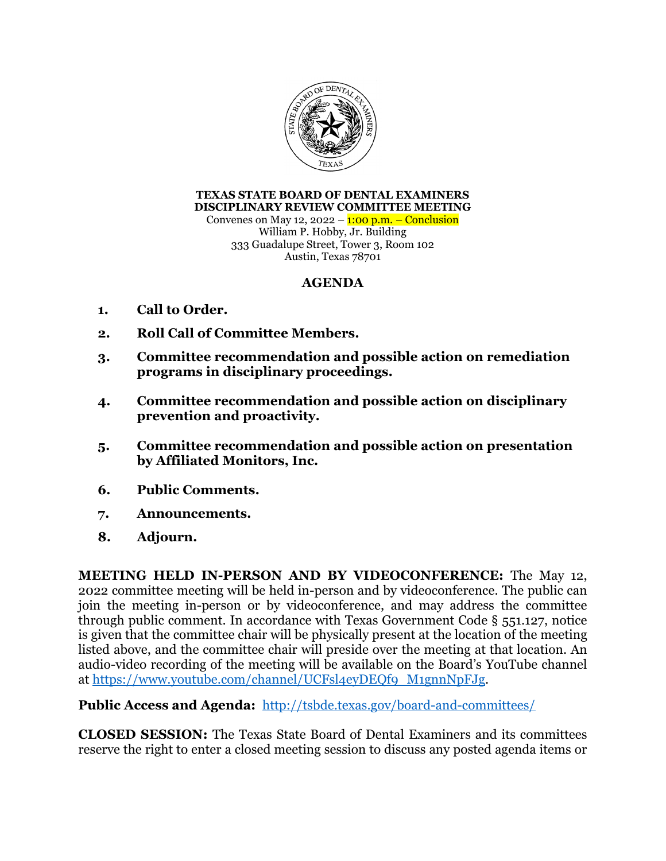

**TEXAS STATE BOARD OF DENTAL EXAMINERS DISCIPLINARY REVIEW COMMITTEE MEETING**  Convenes on May 12, 2022 –  $1:00$  p.m. – Conclusion William P. Hobby, Jr. Building 333 Guadalupe Street, Tower 3, Room 102 Austin, Texas 78701

## **AGENDA**

- **1. Call to Order.**
- **2. Roll Call of Committee Members.**
- **3. Committee recommendation and possible action on remediation programs in disciplinary proceedings.**
- **4. Committee recommendation and possible action on disciplinary prevention and proactivity.**
- **5. Committee recommendation and possible action on presentation by Affiliated Monitors, Inc.**
- **6. Public Comments.**
- **7. Announcements.**
- **8. Adjourn.**

**MEETING HELD IN-PERSON AND BY VIDEOCONFERENCE:** The May 12, 2022 committee meeting will be held in-person and by videoconference. The public can join the meeting in-person or by videoconference, and may address the committee through public comment. In accordance with Texas Government Code § 551.127, notice is given that the committee chair will be physically present at the location of the meeting listed above, and the committee chair will preside over the meeting at that location. An audio-video recording of the meeting will be available on the Board's YouTube channel at https://www.youtube.com/channel/UCFsl4eyDEQf9\_M1gnnNpFJg.

**Public Access and Agenda:** http://tsbde.texas.gov/board-and-committees/

**CLOSED SESSION:** The Texas State Board of Dental Examiners and its committees reserve the right to enter a closed meeting session to discuss any posted agenda items or